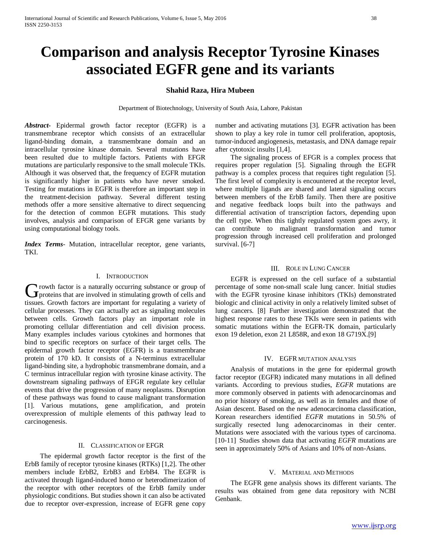# **Comparison and analysis Receptor Tyrosine Kinases associated EGFR gene and its variants**

# **Shahid Raza, Hira Mubeen**

Department of Biotechnology, University of South Asia, Lahore, Pakistan

*Abstract***-** Epidermal growth factor receptor (EGFR) is a transmembrane receptor which consists of an extracellular ligand-binding domain, a transmembrane domain and an intracellular tyrosine kinase domain. Several mutations have been resulted due to multiple factors. Patients with EFGR mutations are particularly responsive to the small molecule TKIs. Although it was observed that, the frequency of EGFR mutation is significantly higher in patients who have never smoked. Testing for mutations in EGFR is therefore an important step in the treatment-decision pathway. Several different testing methods offer a more sensitive alternative to direct sequencing for the detection of common EGFR mutations. This study involves, analysis and comparison of EFGR gene variants by using computational biology tools.

*Index Terms*- Mutation, intracellular receptor, gene variants, TKI.

#### I. INTRODUCTION

**Trowth factor is a naturally occurring substance or group of** Growth factor is a naturally occurring substance or group of proteins that are involved in stimulating growth of cells and tissues. Growth factors are important for regulating a variety of cellular processes. They can actually act as signaling molecules between cells. Growth factors play an important role in promoting cellular differentiation and cell division process. Many examples includes various cytokines and hormones that bind to specific receptors on surface of their target cells. The epidermal growth factor receptor (EGFR) is a transmembrane protein of 170 kD. It consists of a N-terminus extracellular ligand-binding site, a hydrophobic transmembrane domain, and a C terminus intracellular region with tyrosine kinase activity. The downstream signaling pathways of EFGR regulate key cellular events that drive the progression of many neoplasms. Disruption of these pathways was found to cause malignant transformation [1]. Various mutations, gene amplification, and protein overexpression of multiple elements of this pathway lead to carcinogenesis.

# II. CLASSIFICATION OF EFGR

 The epidermal growth factor receptor is the first of the ErbB family of receptor tyrosine kinases (RTKs) [1,2]. The other members include ErbB2, ErbB3 and ErbB4. The EGFR is activated through ligand-induced homo or heterodimerization of the receptor with other receptors of the ErbB family under physiologic conditions. But studies shown it can also be activated due to receptor over-expression, increase of EGFR gene copy

number and activating mutations [3]. EGFR activation has been shown to play a key role in tumor cell proliferation, apoptosis, tumor-induced angiogenesis, metastasis, and DNA damage repair after cytotoxic insults [1,4].

 The signaling process of EFGR is a complex process that requires proper regulation [5]. Signaling through the EGFR pathway is a complex process that requires tight regulation [5]. The first level of complexity is encountered at the receptor level, where multiple ligands are shared and lateral signaling occurs between members of the ErbB family. Then there are positive and negative feedback loops built into the pathways and differential activation of transcription factors, depending upon the cell type. When this tightly regulated system goes awry, it can contribute to malignant transformation and tumor progression through increased cell proliferation and prolonged survival. [6-7]

#### III. ROLE IN LUNG CANCER

 EGFR is expressed on the cell surface of a substantial percentage of some non-small scale lung cancer. Initial studies with the EGFR tyrosine kinase inhibitors (TKIs) demonstrated biologic and clinical activity in only a relatively limited subset of lung cancers. [8] Further investigation demonstrated that the highest response rates to these TKIs were seen in patients with somatic mutations within the EGFR-TK domain, particularly exon 19 deletion, exon 21 L858R, and exon 18 G719X.[9]

# IV. EGFR MUTATION ANALYSIS

 Analysis of mutations in the gene for epidermal growth factor receptor (EGFR) indicated many mutations in all defined variants. According to previous studies, *EGFR* mutations are more commonly observed in patients with adenocarcinomas and no prior history of smoking, as well as in females and those of Asian descent. Based on the new adenocarcinoma classification, Korean researchers identified *EGFR* mutations in 50.5% of surgically resected lung adenocarcinomas in their center. Mutations were associated with the various types of carcinoma. [10-11] Studies shown data that activating *EGFR* mutations are seen in approximately 50% of Asians and 10% of non-Asians.

#### V. MATERIAL AND METHODS

 The EGFR gene analysis shows its different variants. The results was obtained from gene data repository with NCBI Genbank.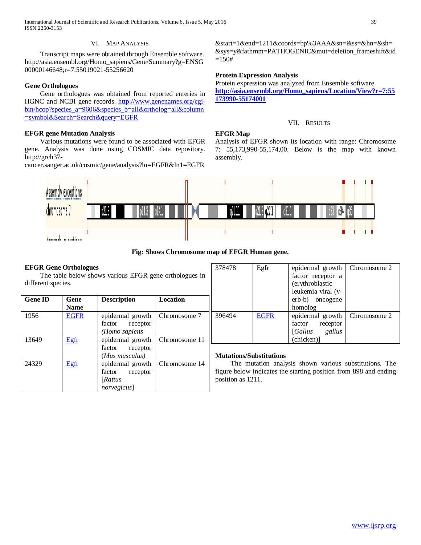International Journal of Scientific and Research Publications, Volume 6, Issue 5, May 2016 39 ISSN 2250-3153

## VI. MAP ANALYSIS

 Transcript maps were obtained through Ensemble software. http://asia.ensembl.org/Homo\_sapiens/Gene/Summary?g=ENSG 00000146648;r=7:55019021-55256620

# **Gene Orthologues**

 Gene orthologues was obtained from reported enteries in HGNC and NCBI gene records. [http://www.genenames.org/cgi](http://www.genenames.org/cgi-bin/hcop?species_a=9606&species_b=all&ortholog=all&column=symbol&Search=Search&query=EGFR)[bin/hcop?species\\_a=9606&species\\_b=all&ortholog=all&column](http://www.genenames.org/cgi-bin/hcop?species_a=9606&species_b=all&ortholog=all&column=symbol&Search=Search&query=EGFR) [=symbol&Search=Search&query=EGFR](http://www.genenames.org/cgi-bin/hcop?species_a=9606&species_b=all&ortholog=all&column=symbol&Search=Search&query=EGFR)

# **EFGR gene Mutation Analysis**

 Various mutations were found to be associated with EFGR gene. Analysis was done using COSMIC data repository. http://grch37-

cancer.sanger.ac.uk/cosmic/gene/analysis?ln=EGFR&ln1=EGFR

&start=1&end=1211&coords=bp%3AAA&sn=&ss=&hn=&sh= &sys=y&fathmm=PATHOGENIC&mut=deletion\_frameshift&id  $=150#$ 

# **Protein Expression Analysis**

Protein expression was analyzed from Ensemble software. **[http://asia.ensembl.org/Homo\\_sapiens/Location/View?r=7:55](http://asia.ensembl.org/Homo_sapiens/Location/View?r=7:55173990-55174001) [173990-55174001](http://asia.ensembl.org/Homo_sapiens/Location/View?r=7:55173990-55174001)**

# VII. RESULTS

### **EFGR Map**

Analysis of EFGR shown its location with range: Chromosome 7: 55,173,990-55,174,00. Below is the map with known assembly.



# **Fig: Shows Chromosome map of EFGR Human gene.**

# **EFGR Gene Orthologues**

The table below shows various EFGR gene orthologues different species.

| <b>Gene ID</b> | Gene        | <b>Description</b> | <b>Location</b> |
|----------------|-------------|--------------------|-----------------|
|                | <b>Name</b> |                    |                 |
| 1956           | <b>EGFR</b> | epidermal growth   | Chromosome 7    |
|                |             | factor<br>receptor |                 |
|                |             | (Homo sapiens      |                 |
| 13649          | Egfr        | epidermal growth   | Chromosome 11   |
|                |             | factor<br>receptor |                 |
|                |             | (Mus musculus)     |                 |
| 24329          | Egfr        | epidermal growth   | Chromosome 14   |
|                |             | factor<br>receptor |                 |
|                |             | [Rattus]           |                 |
|                |             | norvegicus]        |                 |

| 378478 | Egfr        | epidermal growth   | Chromosome 2 |
|--------|-------------|--------------------|--------------|
|        |             | factor receptor a  |              |
|        |             | (erythroblastic    |              |
|        |             | leukemia viral (v- |              |
|        |             | erb-b) oncogene    |              |
|        |             | homolog            |              |
| 396494 | <b>EGFR</b> | epidermal growth   | Chromosome 2 |
|        |             | factor<br>receptor |              |
|        |             | [Gallus]<br>gallus |              |
|        |             | (chicken)]         |              |
|        |             |                    |              |

# **Mutations/Substitutions**

 The mutation analysis shown various substitutions. The figure below indicates the starting position from 898 and ending position as 1211.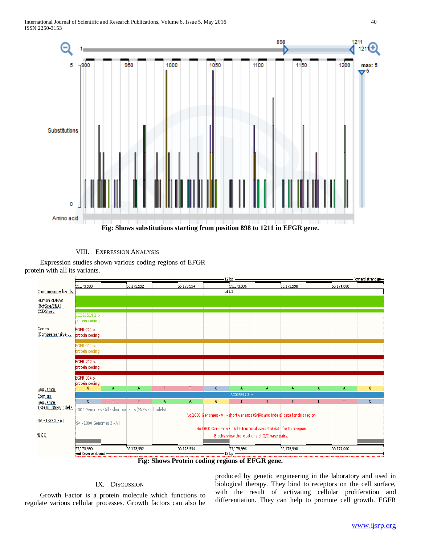

# VIII. EXPRESSION ANALYSIS

 Expression studies shown various coding regions of EFGR protein with all its variants.



**Fig: Shows Protein coding regions of EFGR gene.**

# IX. DISCUSSION

 Growth Factor is a protein molecule which functions to regulate various cellular processes. Growth factors can also be produced by genetic engineering in the laboratory and used in biological therapy. They bind to receptors on the cell surface, with the result of activating cellular proliferation and differentiation. They can help to promote cell growth. EGFR